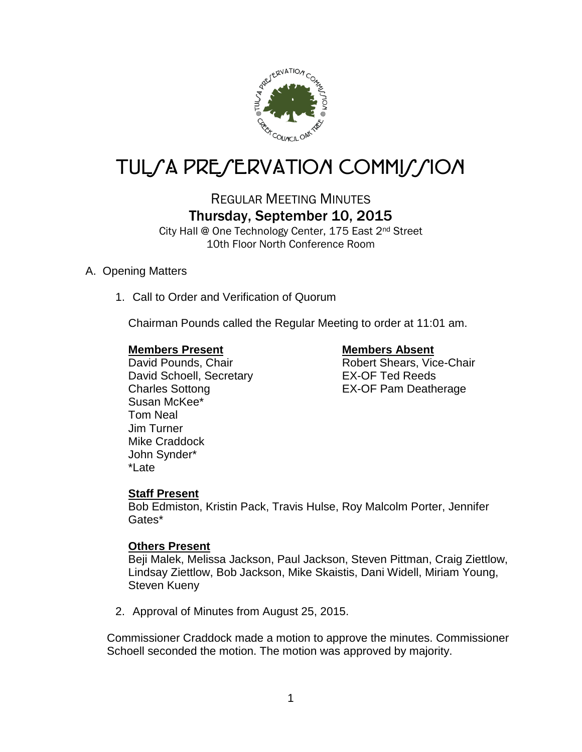

# TUL*SA PRESERVATION COMMISSION*

### REGULAR MEETING MINUTES Thursday, September 10, 2015

City Hall @ One Technology Center, 175 East 2nd Street 10th Floor North Conference Room

### A. Opening Matters

1. Call to Order and Verification of Quorum

Chairman Pounds called the Regular Meeting to order at 11:01 am.

### **Members Present Members Absent**

David Schoell, Secretary **EX-OF Ted Reeds** Charles Sottong EX-OF Pam Deatherage Susan McKee\* Tom Neal Jim Turner Mike Craddock John Synder\* \*Late

David Pounds, Chair **National State Chair** Robert Shears, Vice-Chair

### **Staff Present**

Bob Edmiston, Kristin Pack, Travis Hulse, Roy Malcolm Porter, Jennifer Gates\*

### **Others Present**

Beji Malek, Melissa Jackson, Paul Jackson, Steven Pittman, Craig Ziettlow, Lindsay Ziettlow, Bob Jackson, Mike Skaistis, Dani Widell, Miriam Young, Steven Kueny

2. Approval of Minutes from August 25, 2015.

Commissioner Craddock made a motion to approve the minutes. Commissioner Schoell seconded the motion. The motion was approved by majority.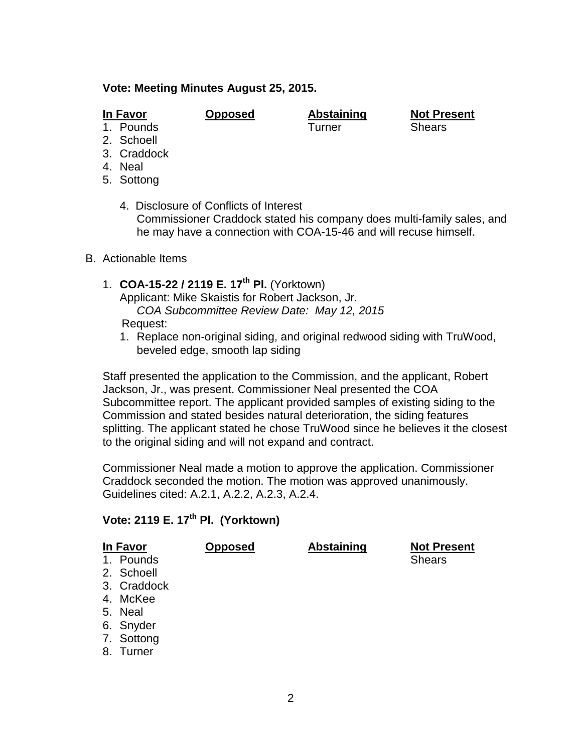### **Vote: Meeting Minutes August 25, 2015.**

**In Favor Opposed Abstaining Not Present**

- $1.$  Pounds
- 2. Schoell
- 3. Craddock
- 4. Neal
- 5. Sottong
	- 4. Disclosure of Conflicts of Interest Commissioner Craddock stated his company does multi-family sales, and he may have a connection with COA-15-46 and will recuse himself.
- B. Actionable Items
	- 1. **COA-15-22 / 2119 E. 17th Pl.** (Yorktown)

Applicant: Mike Skaistis for Robert Jackson, Jr. *COA Subcommittee Review Date: May 12, 2015* Request:

1. Replace non-original siding, and original redwood siding with TruWood, beveled edge, smooth lap siding

Staff presented the application to the Commission, and the applicant, Robert Jackson, Jr., was present. Commissioner Neal presented the COA Subcommittee report. The applicant provided samples of existing siding to the Commission and stated besides natural deterioration, the siding features splitting. The applicant stated he chose TruWood since he believes it the closest to the original siding and will not expand and contract.

Commissioner Neal made a motion to approve the application. Commissioner Craddock seconded the motion. The motion was approved unanimously. Guidelines cited: A.2.1, A.2.2, A.2.3, A.2.4.

### **Vote: 2119 E. 17th Pl. (Yorktown)**

| <b>In Favor</b> |             | <b>Opposed</b> | <b>Abstaining</b> | <b>Not Present</b> |
|-----------------|-------------|----------------|-------------------|--------------------|
|                 | 1. Pounds   |                |                   | <b>Shears</b>      |
|                 | 2. Schoell  |                |                   |                    |
|                 | 3. Craddock |                |                   |                    |
|                 | 4. McKee    |                |                   |                    |
|                 | 5. Neal     |                |                   |                    |
|                 | 6. Snyder   |                |                   |                    |
|                 | 7. Sottong  |                |                   |                    |

8. Turner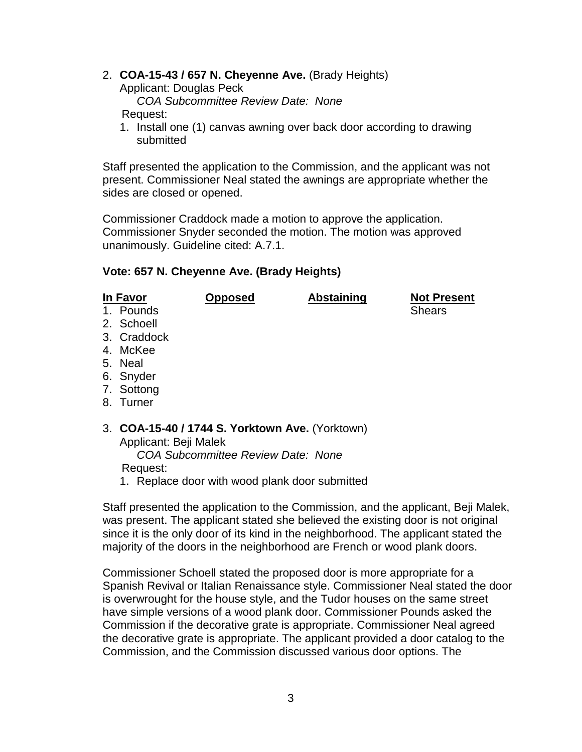2. **COA-15-43 / 657 N. Cheyenne Ave.** (Brady Heights)

Applicant: Douglas Peck

*COA Subcommittee Review Date: None*

- Request:
- 1. Install one (1) canvas awning over back door according to drawing submitted

Staff presented the application to the Commission, and the applicant was not present. Commissioner Neal stated the awnings are appropriate whether the sides are closed or opened.

Commissioner Craddock made a motion to approve the application. Commissioner Snyder seconded the motion. The motion was approved unanimously. Guideline cited: A.7.1.

### **Vote: 657 N. Cheyenne Ave. (Brady Heights)**

| In Favor |             | <b>Opposed</b> | <b>Abstaining</b> | <b>Not Present</b> |
|----------|-------------|----------------|-------------------|--------------------|
|          | 1. Pounds   |                |                   | <b>Shears</b>      |
|          | 2. Schoell  |                |                   |                    |
|          | 3. Craddock |                |                   |                    |
|          | 4. McKee    |                |                   |                    |
|          | 5. Neal     |                |                   |                    |

- 6. Snyder
- 7. Sottong
- 8. Turner
- 3. **COA-15-40 / 1744 S. Yorktown Ave.** (Yorktown) Applicant: Beji Malek

*COA Subcommittee Review Date: None*

### Request:

1. Replace door with wood plank door submitted

Staff presented the application to the Commission, and the applicant, Beji Malek, was present. The applicant stated she believed the existing door is not original since it is the only door of its kind in the neighborhood. The applicant stated the majority of the doors in the neighborhood are French or wood plank doors.

Commissioner Schoell stated the proposed door is more appropriate for a Spanish Revival or Italian Renaissance style. Commissioner Neal stated the door is overwrought for the house style, and the Tudor houses on the same street have simple versions of a wood plank door. Commissioner Pounds asked the Commission if the decorative grate is appropriate. Commissioner Neal agreed the decorative grate is appropriate. The applicant provided a door catalog to the Commission, and the Commission discussed various door options. The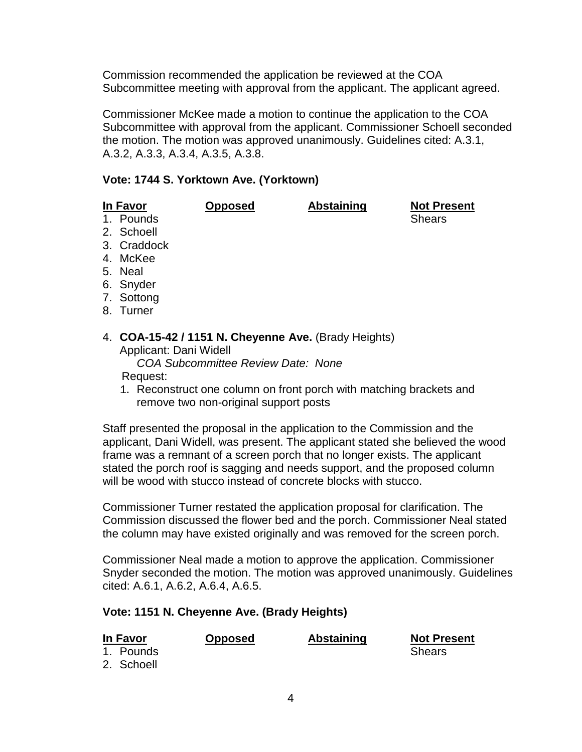Commission recommended the application be reviewed at the COA Subcommittee meeting with approval from the applicant. The applicant agreed.

Commissioner McKee made a motion to continue the application to the COA Subcommittee with approval from the applicant. Commissioner Schoell seconded the motion. The motion was approved unanimously. Guidelines cited: A.3.1, A.3.2, A.3.3, A.3.4, A.3.5, A.3.8.

### **Vote: 1744 S. Yorktown Ave. (Yorktown)**

**In Favor Opposed Abstaining Not Present**

- 1. Pounds 2. Schoell
- 3. Craddock
- 4. McKee
- 5. Neal
- 
- 6. Snyder
- 7. Sottong
- 8. Turner

### 4. **COA-15-42 / 1151 N. Cheyenne Ave.** (Brady Heights) Applicant: Dani Widell

*COA Subcommittee Review Date: None*

Request:

1. Reconstruct one column on front porch with matching brackets and remove two non-original support posts

Staff presented the proposal in the application to the Commission and the applicant, Dani Widell, was present. The applicant stated she believed the wood frame was a remnant of a screen porch that no longer exists. The applicant stated the porch roof is sagging and needs support, and the proposed column will be wood with stucco instead of concrete blocks with stucco.

Commissioner Turner restated the application proposal for clarification. The Commission discussed the flower bed and the porch. Commissioner Neal stated the column may have existed originally and was removed for the screen porch.

Commissioner Neal made a motion to approve the application. Commissioner Snyder seconded the motion. The motion was approved unanimously. Guidelines cited: A.6.1, A.6.2, A.6.4, A.6.5.

### **Vote: 1151 N. Cheyenne Ave. (Brady Heights)**

| In Favor   | <b>Opposed</b> | <b>Abstaining</b> | <b>Not Present</b> |
|------------|----------------|-------------------|--------------------|
| 1. Pounds  |                |                   | Shears             |
| 2. Schoell |                |                   |                    |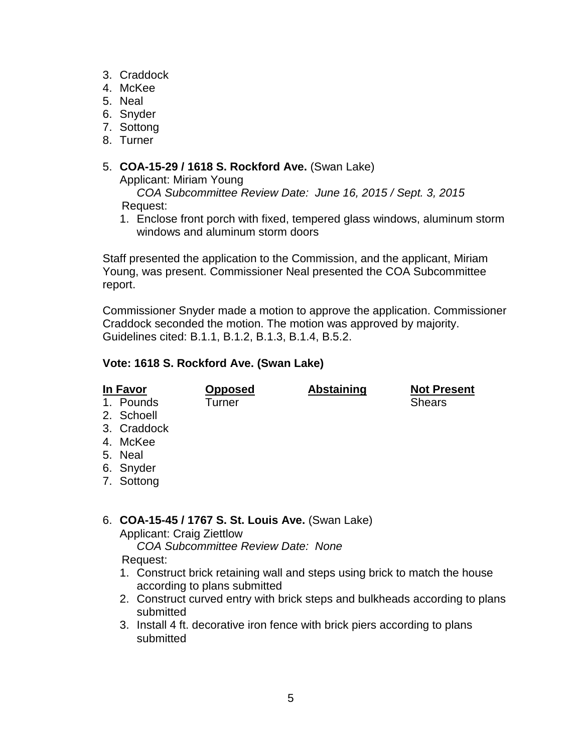- 3. Craddock
- 4. McKee
- 5. Neal
- 6. Snyder
- 7. Sottong
- 8. Turner

### 5. **COA-15-29 / 1618 S. Rockford Ave.** (Swan Lake)

Applicant: Miriam Young

 *COA Subcommittee Review Date: June 16, 2015 / Sept. 3, 2015* Request:

1. Enclose front porch with fixed, tempered glass windows, aluminum storm windows and aluminum storm doors

Staff presented the application to the Commission, and the applicant, Miriam Young, was present. Commissioner Neal presented the COA Subcommittee report.

Commissioner Snyder made a motion to approve the application. Commissioner Craddock seconded the motion. The motion was approved by majority. Guidelines cited: B.1.1, B.1.2, B.1.3, B.1.4, B.5.2.

### **Vote: 1618 S. Rockford Ave. (Swan Lake)**

|--|

1. Pounds Turner Contract Turner Shears

**In Favor Opposed Abstaining Not Present**

- 2. Schoell
- 3. Craddock
- 4. McKee
- 5. Neal
- 6. Snyder
- 7. Sottong

### 6. **COA-15-45 / 1767 S. St. Louis Ave.** (Swan Lake)

Applicant: Craig Ziettlow

*COA Subcommittee Review Date: None*

Request:

- 1. Construct brick retaining wall and steps using brick to match the house according to plans submitted
- 2. Construct curved entry with brick steps and bulkheads according to plans submitted
- 3. Install 4 ft. decorative iron fence with brick piers according to plans submitted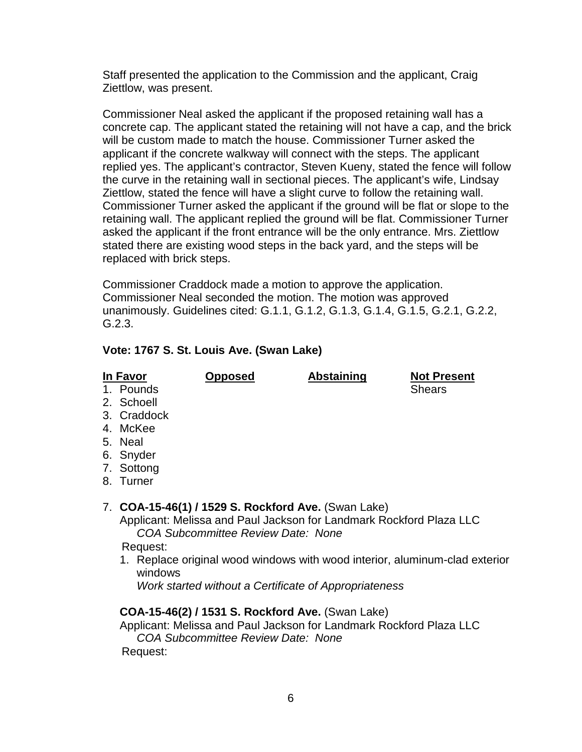Staff presented the application to the Commission and the applicant, Craig Ziettlow, was present.

Commissioner Neal asked the applicant if the proposed retaining wall has a concrete cap. The applicant stated the retaining will not have a cap, and the brick will be custom made to match the house. Commissioner Turner asked the applicant if the concrete walkway will connect with the steps. The applicant replied yes. The applicant's contractor, Steven Kueny, stated the fence will follow the curve in the retaining wall in sectional pieces. The applicant's wife, Lindsay Ziettlow, stated the fence will have a slight curve to follow the retaining wall. Commissioner Turner asked the applicant if the ground will be flat or slope to the retaining wall. The applicant replied the ground will be flat. Commissioner Turner asked the applicant if the front entrance will be the only entrance. Mrs. Ziettlow stated there are existing wood steps in the back yard, and the steps will be replaced with brick steps.

Commissioner Craddock made a motion to approve the application. Commissioner Neal seconded the motion. The motion was approved unanimously. Guidelines cited: G.1.1, G.1.2, G.1.3, G.1.4, G.1.5, G.2.1, G.2.2, G.2.3.

### **Vote: 1767 S. St. Louis Ave. (Swan Lake)**

| In Favor    | <b>Opposed</b> | <b>Abstaining</b> | <b>Not Present</b> |  |
|-------------|----------------|-------------------|--------------------|--|
| 1. Pounds   |                |                   | <b>Shears</b>      |  |
| 2. Schoell  |                |                   |                    |  |
| 3. Craddock |                |                   |                    |  |
| 4. McKee    |                |                   |                    |  |
| 5. Neal     |                |                   |                    |  |
| 6. Snyder   |                |                   |                    |  |
| 7. Sottong  |                |                   |                    |  |
|             |                |                   |                    |  |

8. Turner

### 7. **COA-15-46(1) / 1529 S. Rockford Ave.** (Swan Lake)

Applicant: Melissa and Paul Jackson for Landmark Rockford Plaza LLC *COA Subcommittee Review Date: None*

Request:

1. Replace original wood windows with wood interior, aluminum-clad exterior windows

*Work started without a Certificate of Appropriateness*

### **COA-15-46(2) / 1531 S. Rockford Ave.** (Swan Lake)

Applicant: Melissa and Paul Jackson for Landmark Rockford Plaza LLC *COA Subcommittee Review Date: None*

Request: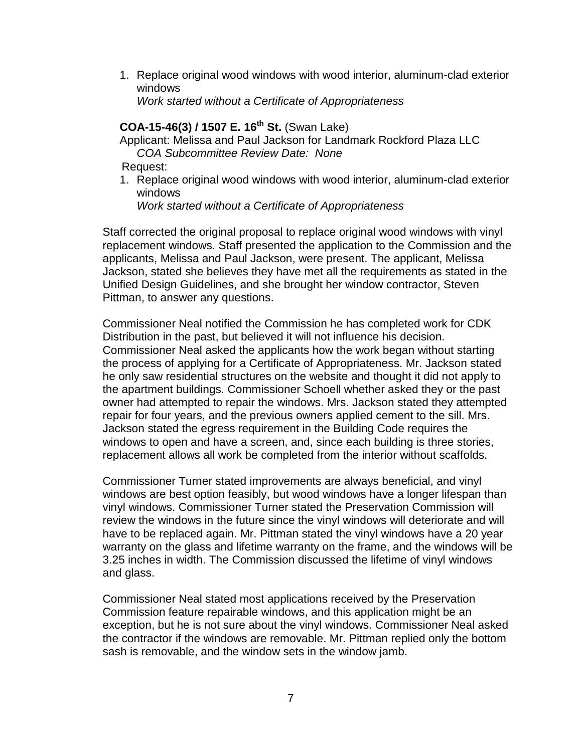1. Replace original wood windows with wood interior, aluminum-clad exterior windows *Work started without a Certificate of Appropriateness*

## **COA-15-46(3) / 1507 E. 16th St.** (Swan Lake)

Applicant: Melissa and Paul Jackson for Landmark Rockford Plaza LLC *COA Subcommittee Review Date: None*

Request:

1. Replace original wood windows with wood interior, aluminum-clad exterior windows

*Work started without a Certificate of Appropriateness*

Staff corrected the original proposal to replace original wood windows with vinyl replacement windows. Staff presented the application to the Commission and the applicants, Melissa and Paul Jackson, were present. The applicant, Melissa Jackson, stated she believes they have met all the requirements as stated in the Unified Design Guidelines, and she brought her window contractor, Steven Pittman, to answer any questions.

Commissioner Neal notified the Commission he has completed work for CDK Distribution in the past, but believed it will not influence his decision. Commissioner Neal asked the applicants how the work began without starting the process of applying for a Certificate of Appropriateness. Mr. Jackson stated he only saw residential structures on the website and thought it did not apply to the apartment buildings. Commissioner Schoell whether asked they or the past owner had attempted to repair the windows. Mrs. Jackson stated they attempted repair for four years, and the previous owners applied cement to the sill. Mrs. Jackson stated the egress requirement in the Building Code requires the windows to open and have a screen, and, since each building is three stories, replacement allows all work be completed from the interior without scaffolds.

Commissioner Turner stated improvements are always beneficial, and vinyl windows are best option feasibly, but wood windows have a longer lifespan than vinyl windows. Commissioner Turner stated the Preservation Commission will review the windows in the future since the vinyl windows will deteriorate and will have to be replaced again. Mr. Pittman stated the vinyl windows have a 20 year warranty on the glass and lifetime warranty on the frame, and the windows will be 3.25 inches in width. The Commission discussed the lifetime of vinyl windows and glass.

Commissioner Neal stated most applications received by the Preservation Commission feature repairable windows, and this application might be an exception, but he is not sure about the vinyl windows. Commissioner Neal asked the contractor if the windows are removable. Mr. Pittman replied only the bottom sash is removable, and the window sets in the window jamb.